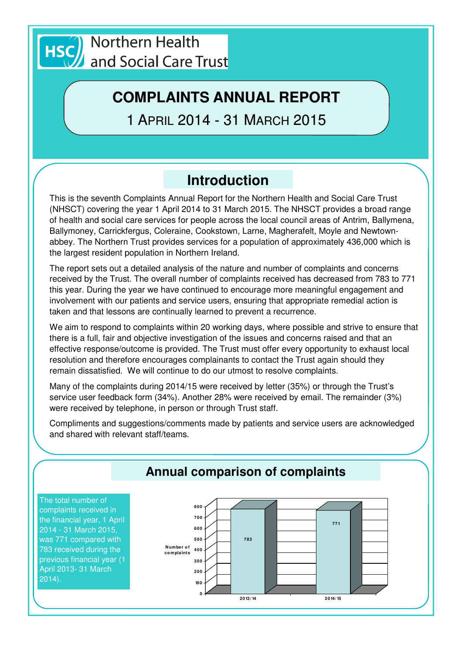

# **COMPLAINTS ANNUAL REPORT**

1 APRIL 2014 - 31 MARCH 2015

# **Introduction**

This is the seventh Complaints Annual Report for the Northern Health and Social Care Trust (NHSCT) covering the year 1 April 2014 to 31 March 2015. The NHSCT provides a broad range of health and social care services for people across the local council areas of Antrim, Ballymena, Ballymoney, Carrickfergus, Coleraine, Cookstown, Larne, Magherafelt, Moyle and Newtownabbey. The Northern Trust provides services for a population of approximately 436,000 which is the largest resident population in Northern Ireland.

The report sets out a detailed analysis of the nature and number of complaints and concerns received by the Trust. The overall number of complaints received has decreased from 783 to 771 this year. During the year we have continued to encourage more meaningful engagement and involvement with our patients and service users, ensuring that appropriate remedial action is taken and that lessons are continually learned to prevent a recurrence.

We aim to respond to complaints within 20 working days, where possible and strive to ensure that there is a full, fair and objective investigation of the issues and concerns raised and that an effective response/outcome is provided. The Trust must offer every opportunity to exhaust local resolution and therefore encourages complainants to contact the Trust again should they remain dissatisfied. We will continue to do our utmost to resolve complaints.

Many of the complaints during 2014/15 were received by letter (35%) or through the Trust's service user feedback form (34%). Another 28% were received by email. The remainder (3%) were received by telephone, in person or through Trust staff.

Compliments and suggestions/comments made by patients and service users are acknowledged and shared with relevant staff/teams.

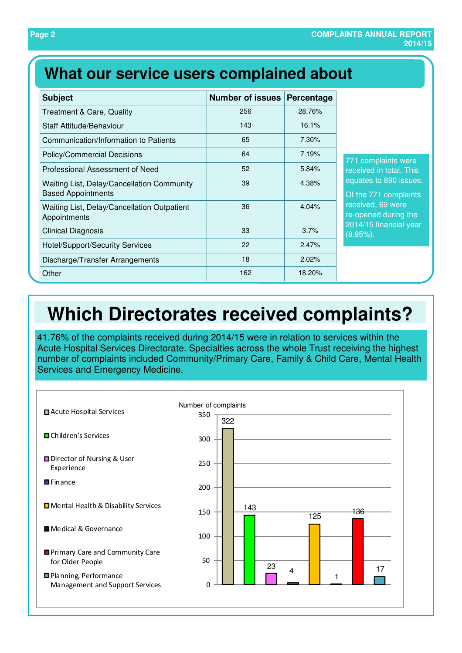## **What our service users complained about**

| <b>Subject</b>                                                          | <b>Number of issues</b> | Percentage |
|-------------------------------------------------------------------------|-------------------------|------------|
| <b>Treatment &amp; Care, Quality</b>                                    | 256                     | 28.76%     |
| Staff Attitude/Behaviour                                                | 143                     | 16.1%      |
| Communication/Information to Patients                                   | 65                      | 7.30%      |
| <b>Policy/Commercial Decisions</b>                                      | 64                      | 7.19%      |
| Professional Assessment of Need                                         | 52                      | 5.84%      |
| Waiting List, Delay/Cancellation Community<br><b>Based Appointments</b> | 39                      | 4.38%      |
| Waiting List, Delay/Cancellation Outpatient<br>Appointments             | 36                      | 4.04%      |
| <b>Clinical Diagnosis</b>                                               | 33                      | 3.7%       |
| <b>Hotel/Support/Security Services</b>                                  | 22                      | 2.47%      |
| Discharge/Transfer Arrangements                                         | 18                      | 2.02%      |
| Other                                                                   | 162                     | 18.20%     |

771 complaints were received in total. This equates to 890 issues.

Of the 771 complaints received, 69 were re-opened during the 2014/15 financial year (8.95%).

# **Which Directorates received complaints?**

41.76% of the complaints received during 2014/15 were in relation to services within the Acute Hospital Services Directorate. Specialties across the whole Trust receiving the highest number of complaints included Community/Primary Care, Family & Child Care, Mental Health Services and Emergency Medicine.

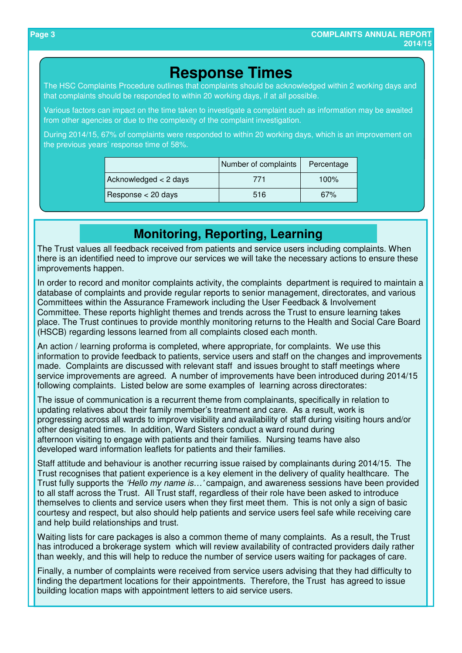### **Response Times**

The HSC Complaints Procedure outlines that complaints should be acknowledged within 2 working days and that complaints should be responded to within 20 working days, if at all possible.

Various factors can impact on the time taken to investigate a complaint such as information may be awaited from other agencies or due to the complexity of the complaint investigation.

During 2014/15, 67% of complaints were responded to within 20 working days, which is an improvement on the previous years' response time of 58%.

|                       | Number of complaints | Percentage |
|-----------------------|----------------------|------------|
| Acknowledged < 2 days | 771                  | $100\%$    |
| Response < 20 days    | 516                  | 67%        |

### **Monitoring, Reporting, Learning**

The Trust values all feedback received from patients and service users including complaints. When there is an identified need to improve our services we will take the necessary actions to ensure these improvements happen.

In order to record and monitor complaints activity, the complaints department is required to maintain a database of complaints and provide regular reports to senior management, directorates, and various Committees within the Assurance Framework including the User Feedback & Involvement Committee. These reports highlight themes and trends across the Trust to ensure learning takes place. The Trust continues to provide monthly monitoring returns to the Health and Social Care Board (HSCB) regarding lessons learned from all complaints closed each month.

An action / learning proforma is completed, where appropriate, for complaints. We use this information to provide feedback to patients, service users and staff on the changes and improvements made. Complaints are discussed with relevant staff and issues brought to staff meetings where service improvements are agreed. A number of improvements have been introduced during 2014/15 following complaints. Listed below are some examples of learning across directorates:

The issue of communication is a recurrent theme from complainants, specifically in relation to updating relatives about their family member's treatment and care. As a result, work is progressing across all wards to improve visibility and availability of staff during visiting hours and/or other designated times. In addition, Ward Sisters conduct a ward round during afternoon visiting to engage with patients and their families. Nursing teams have also developed ward information leaflets for patients and their families.

Staff attitude and behaviour is another recurring issue raised by complainants during 2014/15. The Trust recognises that patient experience is a key element in the delivery of quality healthcare. The Trust fully supports the 'Hello my name is…' campaign, and awareness sessions have been provided to all staff across the Trust. All Trust staff, regardless of their role have been asked to introduce themselves to clients and service users when they first meet them. This is not only a sign of basic courtesy and respect, but also should help patients and service users feel safe while receiving care and help build relationships and trust.

Waiting lists for care packages is also a common theme of many complaints. As a result, the Trust has introduced a brokerage system which will review availability of contracted providers daily rather than weekly, and this will help to reduce the number of service users waiting for packages of care.

Finally, a number of complaints were received from service users advising that they had difficulty to finding the department locations for their appointments. Therefore, the Trust has agreed to issue building location maps with appointment letters to aid service users.